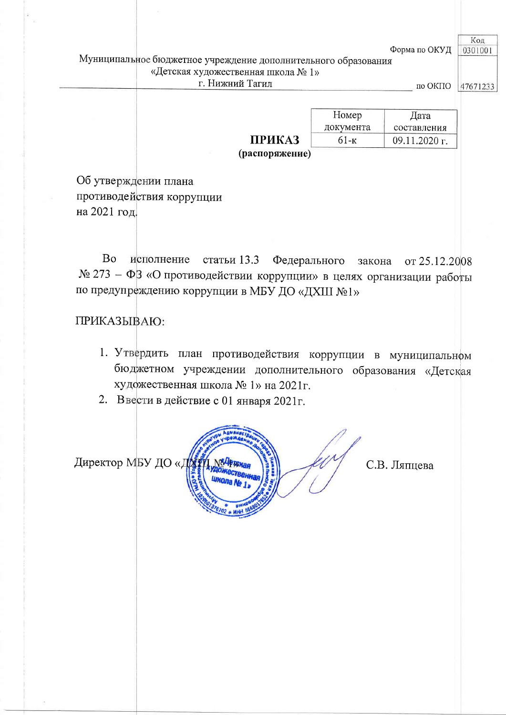Форма по ОКУД

## Муниципальное бюджетное учреждение дополнительного образования «Детская художественная школа № 1» г. Нижний Тагил

по ОКПО 47671233

Код

0301001

|               | Номер     | Дата          |
|---------------|-----------|---------------|
|               | документа | составления   |
| <b>ПРИКАЗ</b> | 61-к      | 09.11.2020 г. |

(распоряжение)

Об утверждении плана противодействия коррупции на 2021 год.

Во исполнение статьи 13.3 Федерального закона от 25.12.2008 № 273 - ФЗ «О противодействии коррупции» в целях организации работы по предупреждению коррупции в МБУ ДО «ДХШ №1»

ПРИКАЗЫВАЮ:

- 1. Утвердить план противодействия коррупции в муниципальном бюджетном учреждении дополнительного образования «Детская художественная школа № 1» на 2021г.
- 2. Ввести в действие с 01 января 2021г.

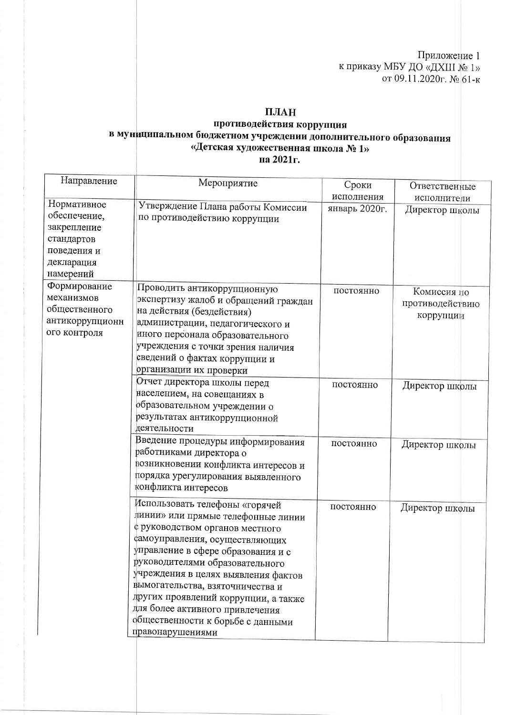Приложение 1 к приказу МБУ ДО «ДХШ № 1» or 09.11.2020 $r$ . No 61-K

## ПЛАН

## противодействия коррупция в муниципальном бюджетном учреждении дополнительного образования<br>• Детская художественная школа № 1» на 2021г.

| Направление                                                                                        | Мероприятие                                                                                                                                                                                                                                                                                                                                                                                                                       | Сроки<br>исполнения | Ответственные                               |
|----------------------------------------------------------------------------------------------------|-----------------------------------------------------------------------------------------------------------------------------------------------------------------------------------------------------------------------------------------------------------------------------------------------------------------------------------------------------------------------------------------------------------------------------------|---------------------|---------------------------------------------|
| Нормативное<br>обеспечение,<br>закрепление<br>стандартов<br>поведения и<br>декларация<br>намерений | Утверждение Плана работы Комиссии<br>по противодействию коррупции                                                                                                                                                                                                                                                                                                                                                                 | январь 2020г.       | исполнители<br>Директор школы               |
| Формирование<br>механизмов<br>общественного<br>антикоррупционн<br>ого контроля                     | Проводить антикоррупционную<br>экспертизу жалоб и обращений граждан<br>на действия (бездействия)<br>администрации, педагогического и<br>иного персонала образовательного<br>учреждения с точки зрения наличия<br>сведений о фактах коррупции и<br>организации их проверки                                                                                                                                                         | постоянно           | Комиссия по<br>противодействию<br>коррупции |
|                                                                                                    | Отчет директора школы перед<br>населением, на совещаниях в<br>образовательном учреждении о<br>результатах антикоррупционной<br>деятельности                                                                                                                                                                                                                                                                                       | постоянно           | Директор школы                              |
|                                                                                                    | Введение процедуры информирования<br>работниками директора о<br>возникновении конфликта интересов и<br>порядка урегулирования выявленного<br>конфликта интересов                                                                                                                                                                                                                                                                  | постоянно           | Директор школы                              |
|                                                                                                    | Использовать телефоны «горячей<br>динии» или прямые телефонные линии<br>с руководством органов местного<br>самоуправления, осуществляющих<br>управление в сфере образования и с<br>руководителями образовательного<br>учреждения в целях выявления фактов<br>вымогательства, взяточничества и<br>других проявлений коррупции, а также<br>для более активного привлечения<br>общественности к борьбе с данными<br>правонарушениями | постоянно           | Директор школы                              |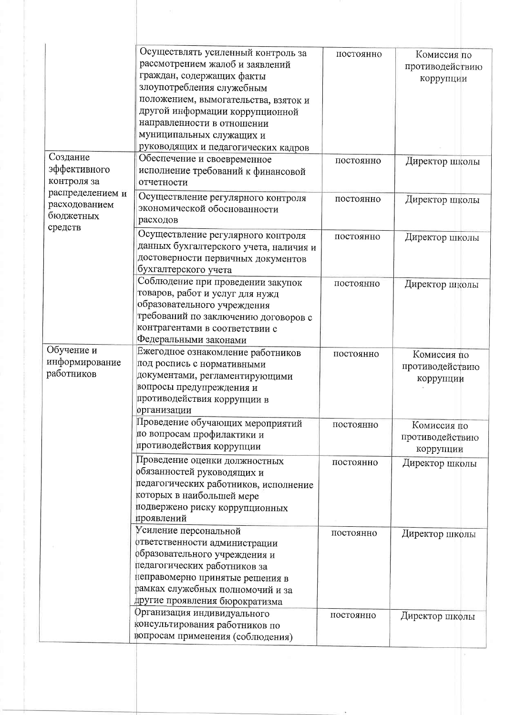|                                                                                                      | Осуществлять усиленный контроль за<br>рассмотрением жалоб и заявлений<br>граждан, содержащих факты                                                                                                                               | постоянно | Комиссия по<br>противодействию<br>коррупции |
|------------------------------------------------------------------------------------------------------|----------------------------------------------------------------------------------------------------------------------------------------------------------------------------------------------------------------------------------|-----------|---------------------------------------------|
|                                                                                                      | злоупотребления служебным<br>положением, вымогательства, взяток и<br>другой информации коррупционной                                                                                                                             |           |                                             |
|                                                                                                      | направленности в отношении<br>муниципальных служащих и                                                                                                                                                                           |           |                                             |
|                                                                                                      | руководящих и педагогических кадров                                                                                                                                                                                              |           |                                             |
| Создание<br>эффективного<br>контроля за<br>распределением и<br>расходованием<br>бюджетных<br>средств | Обеспечение и своевременное<br>исполнение требований к финансовой<br>отчетности                                                                                                                                                  | постоянно | Директор школы                              |
|                                                                                                      | Осуществление регулярного контроля<br>экономической обоснованности<br>расходов                                                                                                                                                   | постоянно | Директор школы                              |
|                                                                                                      | Осуществление регулярного контроля<br>данных бухгалтерского учета, наличия и<br>достоверности первичных документов<br>бухгалтерского учета                                                                                       | постоянно | Директор школы                              |
|                                                                                                      | Соблюдение при проведении закупок<br>товаров, работ и услуг для нужд<br>образовательного учреждения<br>требований по заключению договоров с<br>контрагентами в соответствии с<br>Федеральными законами                           | постоянно | Директор школы                              |
| Обучение и<br>информирование<br>работников                                                           | Ежегодное ознакомление работников<br>под роспись с нормативными<br>документами, регламентирующими<br>вопросы предупреждения и<br>противодействия коррупции в<br>организации                                                      | постоянно | Комиссия по<br>противодействию<br>коррупции |
|                                                                                                      | Проведение обучающих мероприятий<br>по вопросам профилактики и<br>противодействия коррупции                                                                                                                                      | постоянно | Комиссия по<br>противодействию<br>коррупции |
|                                                                                                      | Проведение оценки должностных<br>обязанностей руководящих и<br>педагогических работников, исполнение<br>которых в наибольшей мере<br>подвержено риску коррупционных<br>проявлений                                                | постоянно | Директор школы                              |
|                                                                                                      | Усиление персональной<br>ответственности администрации<br>образовательного учреждения и<br>педагогических работников за<br>неправомерно принятые решения в<br>рамках служебных полномочий и за<br>другие проявления бюрократизма | постоянно | Директор школы                              |
|                                                                                                      | Организация индивидуального<br>консультирования работников по<br>вопросам применения (соблюдения)                                                                                                                                | постоянно | Директор школы                              |